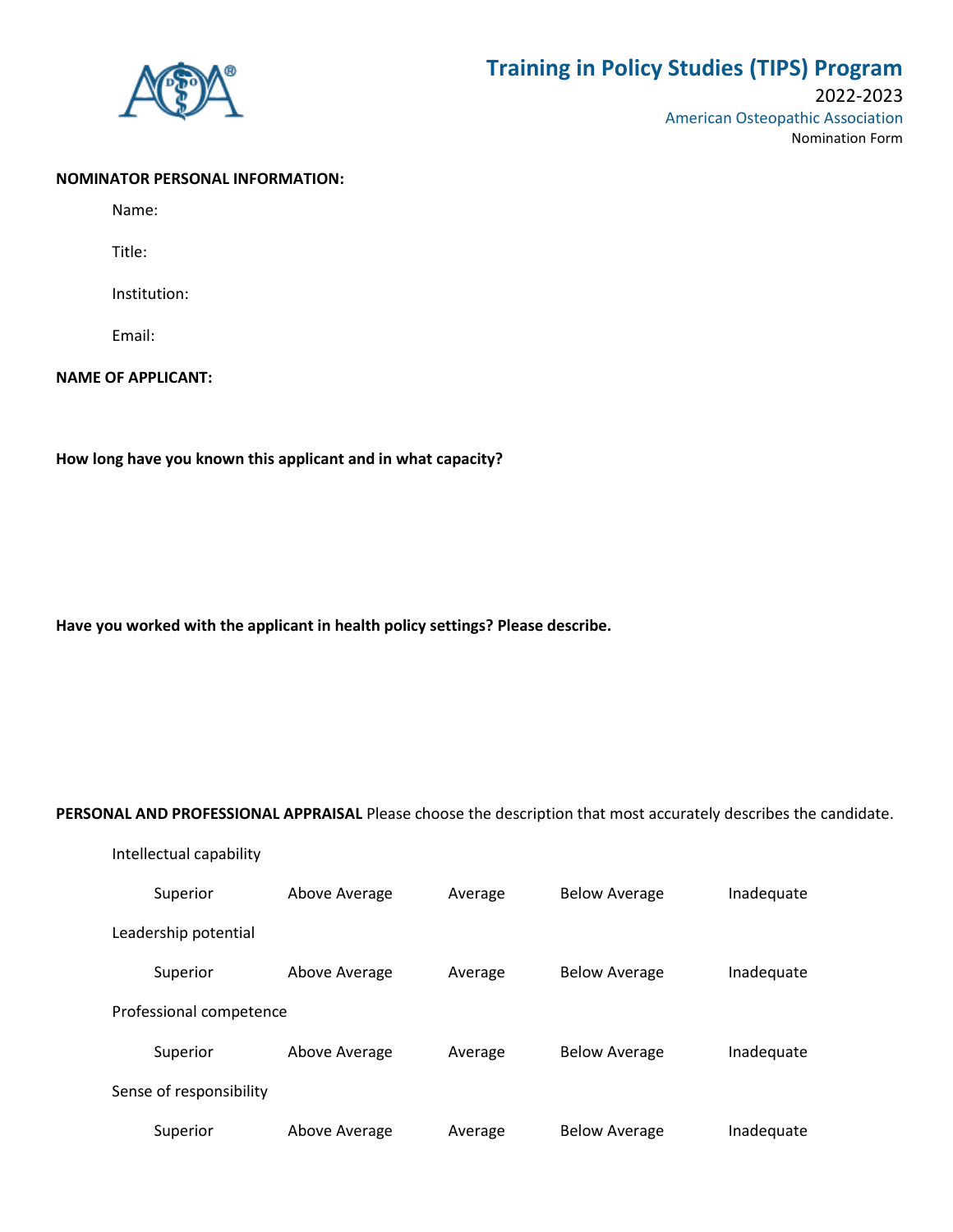

# **Training in Policy Studies (TIPS) Program**

## 2022-2023 American Osteopathic Association Nomination Form

#### **NOMINATOR PERSONAL INFORMATION:**

Name:

Title:

Institution:

Email:

### **NAME OF APPLICANT:**

**How long have you known this applicant and in what capacity?**

**Have you worked with the applicant in health policy settings? Please describe.**

#### **PERSONAL AND PROFESSIONAL APPRAISAL** Please choose the description that most accurately describes the candidate.

| Intellectual capability |               |         |                      |            |  |  |
|-------------------------|---------------|---------|----------------------|------------|--|--|
| Superior                | Above Average | Average | <b>Below Average</b> | Inadequate |  |  |
| Leadership potential    |               |         |                      |            |  |  |
| Superior                | Above Average | Average | <b>Below Average</b> | Inadequate |  |  |
| Professional competence |               |         |                      |            |  |  |
| Superior                | Above Average | Average | <b>Below Average</b> | Inadequate |  |  |
| Sense of responsibility |               |         |                      |            |  |  |
| Superior                | Above Average | Average | <b>Below Average</b> | Inadequate |  |  |